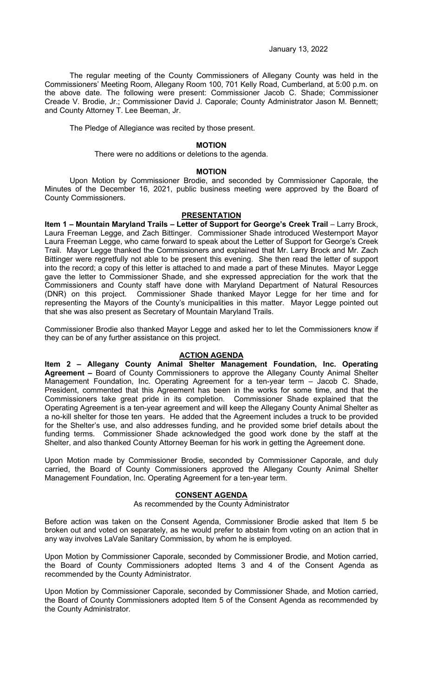January 13, 2022

The regular meeting of the County Commissioners of Allegany County was held in the Commissioners' Meeting Room, Allegany Room 100, 701 Kelly Road, Cumberland, at 5:00 p.m. on the above date. The following were present: Commissioner Jacob C. Shade; Commissioner Creade V. Brodie, Jr.; Commissioner David J. Caporale; County Administrator Jason M. Bennett; and County Attorney T. Lee Beeman, Jr.

The Pledge of Allegiance was recited by those present.

#### **MOTION**

There were no additions or deletions to the agenda.

### **MOTION**

Upon Motion by Commissioner Brodie, and seconded by Commissioner Caporale, the Minutes of the December 16, 2021, public business meeting were approved by the Board of County Commissioners.

### **PRESENTATION**

**Item 1 - Mountain Maryland Trails - Letter of Support for George's Creek Trail - Larry Brock,** Laura Freeman Legge, and Zach Bittinger. Commissioner Shade introduced Westernport Mayor Laura Freeman Legge, who came forward to speak about the Letter of Support for George's Creek Trail. Mayor Legge thanked the Commissioners and explained that Mr. Larry Brock and Mr. Zach Bittinger were regretfully not able to be present this evening. She then read the letter of support into the record; a copy of this letter is attached to and made a part of these Minutes. Mayor Legge gave the letter to Commissioner Shade, and she expressed appreciation for the work that the Commissioners and County staff have done with Maryland Department of Natural Resources (DNR) on this project. Commissioner Shade thanked Mayor Legge for her time and for representing the Mayors of the County's municipalities in this matter. Mayor Legge pointed out that she was also present as Secretary of Mountain Maryland Trails.

Commissioner Brodie also thanked Mayor Legge and asked her to let the Commissioners know if they can be of any further assistance on this project.

### **ACTION AGENDA**

**Item 2 – Allegany County Animal Shelter Management Foundation, Inc. Operating Agreement –** Board of County Commissioners to approve the Allegany County Animal Shelter Management Foundation, Inc. Operating Agreement for a ten-year term – Jacob C. Shade, President, commented that this Agreement has been in the works for some time, and that the Commissioners take great pride in its completion. Commissioner Shade explained that the Operating Agreement is a ten-year agreement and will keep the Allegany County Animal Shelter as a no-kill shelter for those ten years. He added that the Agreement includes a truck to be provided for the Shelter's use, and also addresses funding, and he provided some brief details about the funding terms. Commissioner Shade acknowledged the good work done by the staff at the Shelter, and also thanked County Attorney Beeman for his work in getting the Agreement done.

Upon Motion made by Commissioner Brodie, seconded by Commissioner Caporale, and duly carried, the Board of County Commissioners approved the Allegany County Animal Shelter Management Foundation, Inc. Operating Agreement for a ten-year term.

# **CONSENT AGENDA**

As recommended by the County Administrator

Before action was taken on the Consent Agenda, Commissioner Brodie asked that Item 5 be broken out and voted on separately, as he would prefer to abstain from voting on an action that in any way involves LaVale Sanitary Commission, by whom he is employed.

Upon Motion by Commissioner Caporale, seconded by Commissioner Brodie, and Motion carried, the Board of County Commissioners adopted Items 3 and 4 of the Consent Agenda as recommended by the County Administrator.

Upon Motion by Commissioner Caporale, seconded by Commissioner Shade, and Motion carried, the Board of County Commissioners adopted Item 5 of the Consent Agenda as recommended by the County Administrator.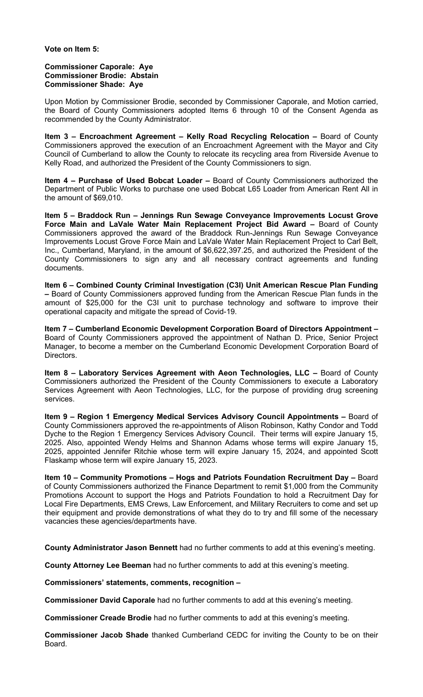### **Vote on Item 5:**

### **Commissioner Caporale: Aye Commissioner Brodie: Abstain Commissioner Shade: Aye**

Upon Motion by Commissioner Brodie, seconded by Commissioner Caporale, and Motion carried, the Board of County Commissioners adopted Items 6 through 10 of the Consent Agenda as recommended by the County Administrator.

**Item 3 – Encroachment Agreement – Kelly Road Recycling Relocation –** Board of County Commissioners approved the execution of an Encroachment Agreement with the Mayor and City Council of Cumberland to allow the County to relocate its recycling area from Riverside Avenue to Kelly Road, and authorized the President of the County Commissioners to sign.

**Item 4 – Purchase of Used Bobcat Loader –** Board of County Commissioners authorized the Department of Public Works to purchase one used Bobcat L65 Loader from American Rent All in the amount of \$69,010.

**Item 5 – Braddock Run – Jennings Run Sewage Conveyance Improvements Locust Grove Force Main and LaVale Water Main Replacement Project Bid Award –** Board of County Commissioners approved the award of the Braddock Run-Jennings Run Sewage Conveyance Improvements Locust Grove Force Main and LaVale Water Main Replacement Project to Carl Belt, Inc., Cumberland, Maryland, in the amount of \$6,622,397.25, and authorized the President of the County Commissioners to sign any and all necessary contract agreements and funding documents.

**Item 6 – Combined County Criminal Investigation (C3I) Unit American Rescue Plan Funding –** Board of County Commissioners approved funding from the American Rescue Plan funds in the amount of \$25,000 for the C3I unit to purchase technology and software to improve their operational capacity and mitigate the spread of Covid-19.

**Item 7 – Cumberland Economic Development Corporation Board of Directors Appointment –** Board of County Commissioners approved the appointment of Nathan D. Price, Senior Project Manager, to become a member on the Cumberland Economic Development Corporation Board of Directors.

**Item 8 – Laboratory Services Agreement with Aeon Technologies, LLC –** Board of County Commissioners authorized the President of the County Commissioners to execute a Laboratory Services Agreement with Aeon Technologies, LLC, for the purpose of providing drug screening services.

**Item 9 – Region 1 Emergency Medical Services Advisory Council Appointments –** Board of County Commissioners approved the re-appointments of Alison Robinson, Kathy Condor and Todd Dyche to the Region 1 Emergency Services Advisory Council. Their terms will expire January 15, 2025. Also, appointed Wendy Helms and Shannon Adams whose terms will expire January 15, 2025, appointed Jennifer Ritchie whose term will expire January 15, 2024, and appointed Scott Flaskamp whose term will expire January 15, 2023.

**Item 10 – Community Promotions – Hogs and Patriots Foundation Recruitment Day –** Board of County Commissioners authorized the Finance Department to remit \$1,000 from the Community Promotions Account to support the Hogs and Patriots Foundation to hold a Recruitment Day for Local Fire Departments, EMS Crews, Law Enforcement, and Military Recruiters to come and set up their equipment and provide demonstrations of what they do to try and fill some of the necessary vacancies these agencies/departments have.

**County Administrator Jason Bennett** had no further comments to add at this evening's meeting.

**County Attorney Lee Beeman** had no further comments to add at this evening's meeting.

**Commissioners' statements, comments, recognition –**

**Commissioner David Caporale** had no further comments to add at this evening's meeting.

**Commissioner Creade Brodie** had no further comments to add at this evening's meeting.

**Commissioner Jacob Shade** thanked Cumberland CEDC for inviting the County to be on their Board.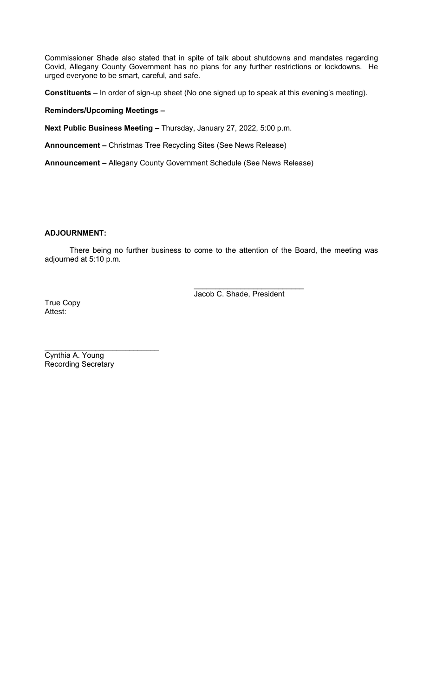Commissioner Shade also stated that in spite of talk about shutdowns and mandates regarding Covid, Allegany County Government has no plans for any further restrictions or lockdowns. He urged everyone to be smart, careful, and safe.

**Constituents –** In order of sign-up sheet (No one signed up to speak at this evening's meeting).

# **Reminders/Upcoming Meetings –**

**Next Public Business Meeting –** Thursday, January 27, 2022, 5:00 p.m.

**Announcement –** Christmas Tree Recycling Sites (See News Release)

**Announcement –** Allegany County Government Schedule (See News Release)

### **ADJOURNMENT:**

There being no further business to come to the attention of the Board, the meeting was adjourned at 5:10 p.m.

> $\overline{\phantom{a}}$  , which is a set of the set of the set of the set of the set of the set of the set of the set of the set of the set of the set of the set of the set of the set of the set of the set of the set of the set of th Jacob C. Shade, President

True Copy Attest:

 $\overline{\phantom{a}}$  , which is a set of the set of the set of the set of the set of the set of the set of the set of the set of the set of the set of the set of the set of the set of the set of the set of the set of the set of th Cynthia A. Young Recording Secretary